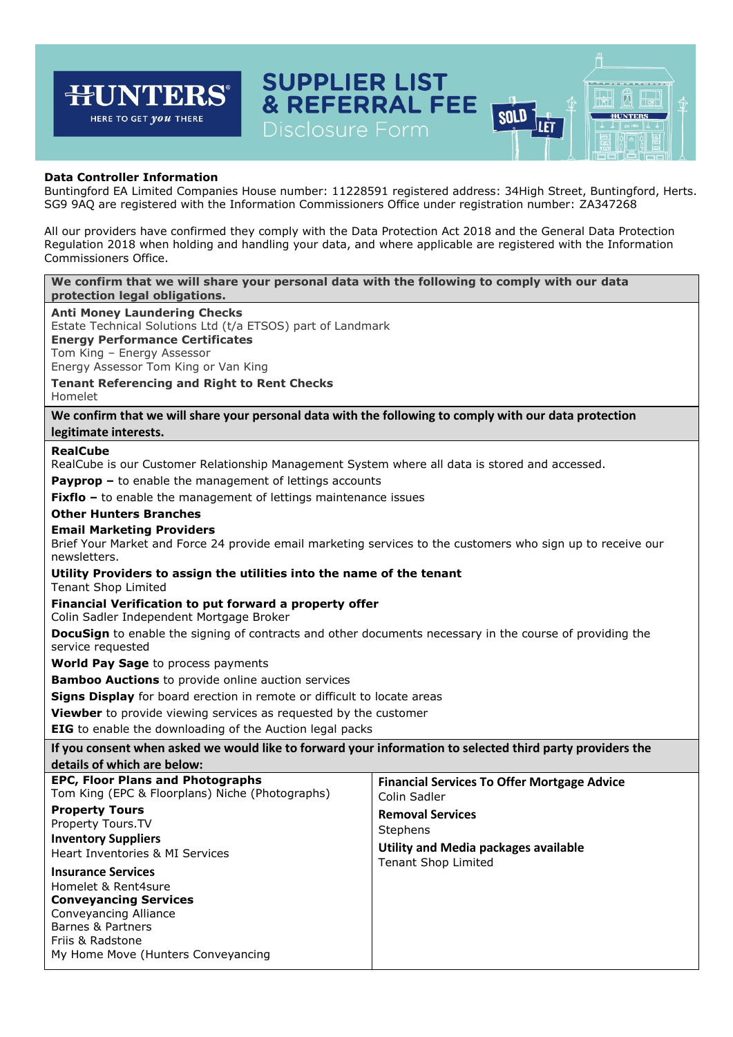#### **SUPPLIER LIST** न्म **JNTER** 岗 **& REFERRAL FEE** H **SOLD HUNTERS** HERE TO GET *you* THERE Let Disclosure Form

# **Data Controller Information**

Buntingford EA Limited Companies House number: 11228591 registered address: 34High Street, Buntingford, Herts. SG9 9AQ are registered with the Information Commissioners Office under registration number: ZA347268

All our providers have confirmed they comply with the Data Protection Act 2018 and the General Data Protection Regulation 2018 when holding and handling your data, and where applicable are registered with the Information Commissioners Office.

# **We confirm that we will share your personal data with the following to comply with our data protection legal obligations. Anti Money Laundering Checks**

Estate Technical Solutions Ltd (t/a ETSOS) part of Landmark

**Energy Performance Certificates**

Tom King – Energy Assessor

Energy Assessor Tom King or Van King

**Tenant Referencing and Right to Rent Checks**

Homelet

**We confirm that we will share your personal data with the following to comply with our data protection legitimate interests.**

# **RealCube**

RealCube is our Customer Relationship Management System where all data is stored and accessed.

**Payprop –** to enable the management of lettings accounts

**Fixflo** – to enable the management of lettings maintenance issues

# **Other Hunters Branches**

# **Email Marketing Providers**

Brief Your Market and Force 24 provide email marketing services to the customers who sign up to receive our newsletters.

# **Utility Providers to assign the utilities into the name of the tenant**

Tenant Shop Limited

# **Financial Verification to put forward a property offer**

Colin Sadler Independent Mortgage Broker

**DocuSign** to enable the signing of contracts and other documents necessary in the course of providing the service requested

**World Pay Sage** to process payments

**Bamboo Auctions** to provide online auction services

**Signs Display** for board erection in remote or difficult to locate areas

**Viewber** to provide viewing services as requested by the customer

**EIG** to enable the downloading of the Auction legal packs

**If you consent when asked we would like to forward your information to selected third party providers the details of which are below:** 

| <b>EPC, Floor Plans and Photographs</b><br>Tom King (EPC & Floorplans) Niche (Photographs)                                                                                               | <b>Financial Services To Offer Mortgage Advice</b><br>Colin Sadler          |
|------------------------------------------------------------------------------------------------------------------------------------------------------------------------------------------|-----------------------------------------------------------------------------|
| <b>Property Tours</b><br>Property Tours. TV<br><b>Inventory Suppliers</b><br>Heart Inventories & MI Services                                                                             | <b>Removal Services</b><br>Stephens<br>Utility and Media packages available |
| <b>Insurance Services</b><br>Homelet & Rent4sure<br><b>Conveyancing Services</b><br>Conveyancing Alliance<br>Barnes & Partners<br>Friis & Radstone<br>My Home Move (Hunters Conveyancing | <b>Tenant Shop Limited</b>                                                  |